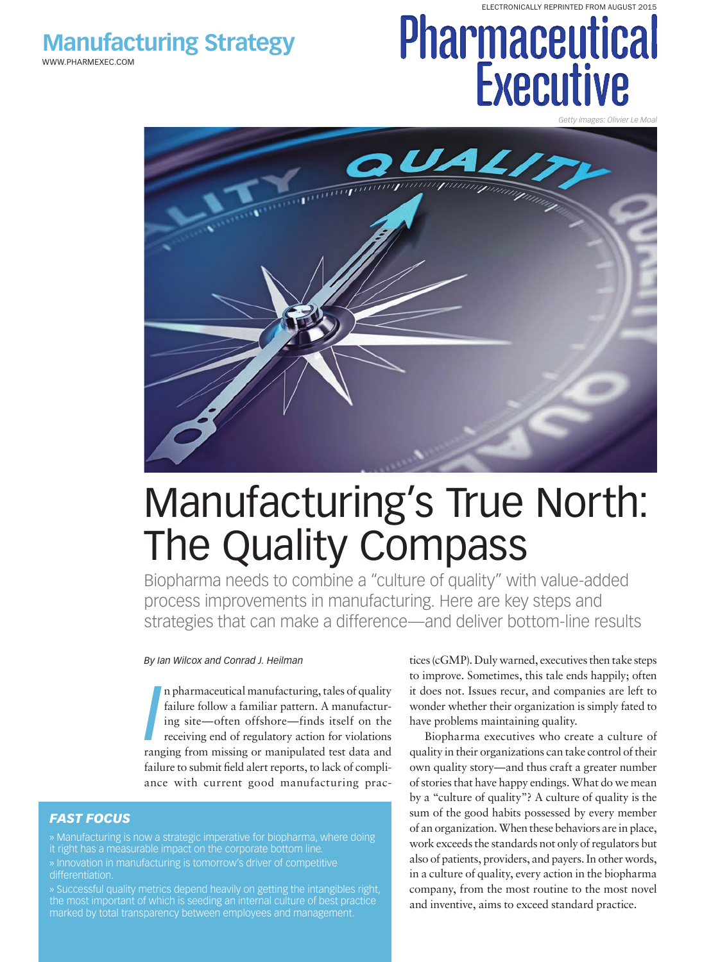WWW.PHARMEXEC.COM

# **Pharmically REPRINTED FROM AUGUST 2015 Executive**

*Getty Images: Olivier Le Moal*



## Manufacturing's True North: The Quality Compass

Biopharma needs to combine a "culture of quality" with value-added process improvements in manufacturing. Here are key steps and strategies that can make a difference—and deliver bottom-line results

#### *By Ian Wilcox and Conrad J. Heilman*

**I**n pharmaceutical manufacturing, tales of quality failure follow a familiar pattern. A manufacturing site—often offshore—finds itself on the receiving end of regulatory action for violations ranging from missing or manip n pharmaceutical manufacturing, tales of quality failure follow a familiar pattern. A manufacturing site—often offshore—finds itself on the receiving end of regulatory action for violations failure to submit field alert reports, to lack of compliance with current good manufacturing prac-

#### *FAST FOCUS*

» Manufacturing is now a strategic imperative for biopharma, where doing it right has a measurable impact on the corporate bottom line. » Innovation in manufacturing is tomorrow's driver of competitive differentiation.

» Successful quality metrics depend heavily on getting the intangibles right, the most important of which is seeding an internal culture of best practice marked by total transparency between employees and management.

tices (cGMP). Duly warned, executives then take steps to improve. Sometimes, this tale ends happily; often it does not. Issues recur, and companies are left to wonder whether their organization is simply fated to have problems maintaining quality.

Biopharma executives who create a culture of quality in their organizations can take control of their own quality story—and thus craft a greater number of stories that have happy endings. What do we mean by a "culture of quality"? A culture of quality is the sum of the good habits possessed by every member of an organization. When these behaviors are in place, work exceeds the standards not only of regulators but also of patients, providers, and payers. In other words, in a culture of quality, every action in the biopharma company, from the most routine to the most novel and inventive, aims to exceed standard practice.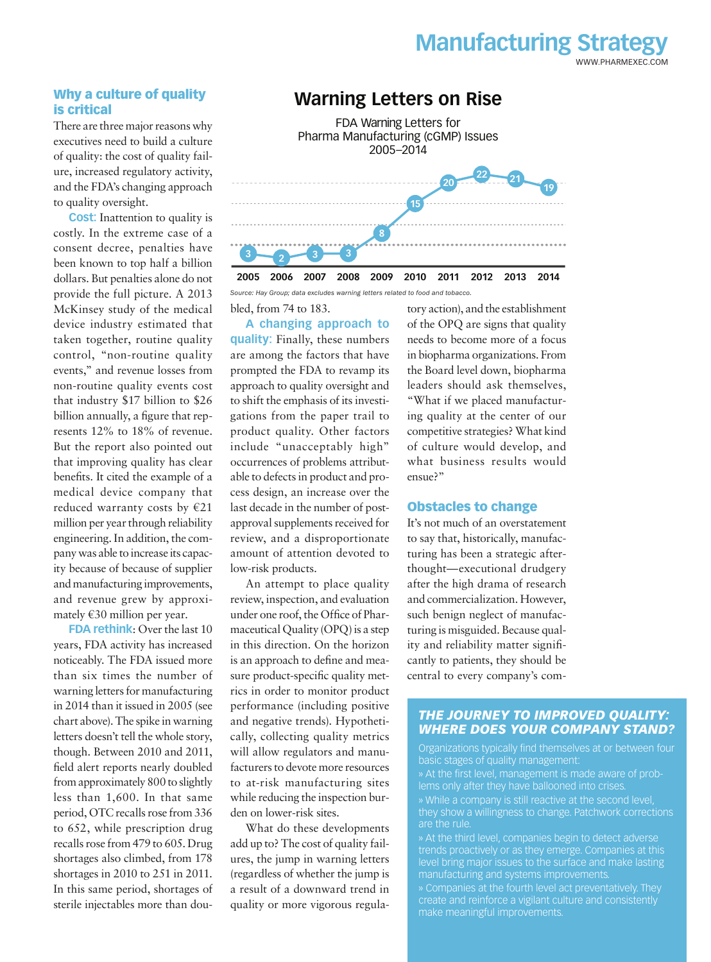#### Why a culture of quality is critical

There are three major reasons why executives need to build a culture of quality: the cost of quality failure, increased regulatory activity, and the FDA's changing approach to quality oversight.

**Cost:** Inattention to quality is costly. In the extreme case of a consent decree, penalties have been known to top half a billion dollars. But penalties alone do not provide the full picture. A 2013 McKinsey study of the medical device industry estimated that taken together, routine quality control, "non-routine quality events," and revenue losses from non-routine quality events cost that industry \$17 billion to \$26 billion annually, a figure that represents 12% to 18% of revenue. But the report also pointed out that improving quality has clear benefits. It cited the example of a medical device company that reduced warranty costs by €21 million per year through reliability engineering. In addition, the company was able to increase its capacity because of because of supplier and manufacturing improvements, and revenue grew by approximately  $€30$  million per year.

**FDA rethink**: Over the last 10 years, FDA activity has increased noticeably. The FDA issued more than six times the number of warning letters for manufacturing in 2014 than it issued in 2005 (see chart above). The spike in warning letters doesn't tell the whole story, though. Between 2010 and 2011, field alert reports nearly doubled from approximately 800 to slightly less than 1,600. In that same period, OTC recalls rose from 336 to 652, while prescription drug recalls rose from 479 to 605. Drug shortages also climbed, from 178 shortages in 2010 to 251 in 2011. In this same period, shortages of sterile injectables more than dou-

#### **Warning Letters on Rise**

**3 2005 2006 2007 2008 2009 2010 2011 2012 2013 2014 <sup>2</sup> <sup>3</sup> <sup>3</sup> 8 15 20 22 21 19** FDA Warning Letters for Pharma Manufacturing (cGMP) Issues 2005–2014

*Source: Hay Group; data excludes warning letters related to food and tobacco.*

bled, from 74 to 183.

**A changing approach to quality:** Finally, these numbers are among the factors that have prompted the FDA to revamp its approach to quality oversight and to shift the emphasis of its investigations from the paper trail to product quality. Other factors include "unacceptably high" occurrences of problems attributable to defects in product and process design, an increase over the last decade in the number of postapproval supplements received for review, and a disproportionate amount of attention devoted to low-risk products.

An attempt to place quality review, inspection, and evaluation under one roof, the Office of Pharmaceutical Quality (OPQ) is a step in this direction. On the horizon is an approach to define and measure product-specific quality metrics in order to monitor product performance (including positive and negative trends). Hypothetically, collecting quality metrics will allow regulators and manufacturers to devote more resources to at-risk manufacturing sites while reducing the inspection burden on lower-risk sites.

What do these developments add up to? The cost of quality failures, the jump in warning letters (regardless of whether the jump is a result of a downward trend in quality or more vigorous regulatory action), and the establishment of the OPQ are signs that quality needs to become more of a focus in biopharma organizations. From the Board level down, biopharma leaders should ask themselves, "What if we placed manufacturing quality at the center of our competitive strategies? What kind of culture would develop, and what business results would ensue?"

WWW.PHARMEXEC.COM

**Manufacturing Strategy**

#### Obstacles to change

It's not much of an overstatement to say that, historically, manufacturing has been a strategic afterthought—executional drudgery after the high drama of research and commercialization. However, such benign neglect of manufacturing is misguided. Because quality and reliability matter significantly to patients, they should be central to every company's com-

#### *THE JOURNEY TO IMPROVED QUALITY: WHERE DOES YOUR COMPANY STAND?*

Organizations typically find themselves at or between four basic stages of quality management:

» At the first level, management is made aware of probthey show a willingness to change. Patchwork corrections

» At the third level, companies begin to detect adverse trends proactively or as they emerge. Companies at this level bring major issues to the surface and make lasting manufacturing and systems improvements.

» Companies at the fourth level act preventatively. They create and reinforce a vigilant culture and consistently make meaningful improvements.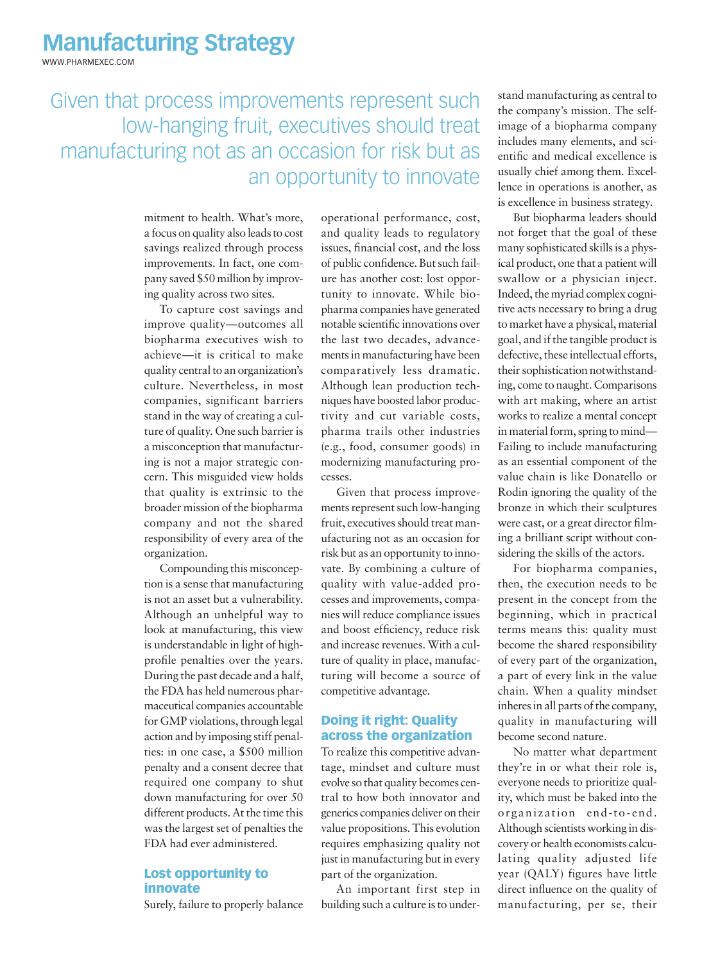WWW.PHARMEXEC.COM

Given that process improvements represent such low-hanging fruit, executives should treat manufacturing not as an occasion for risk but as an opportunity to innovate

> mitment to health. What's more, a focus on quality also leads to cost savings realized through process improvements. In fact, one company saved \$50 million by improving quality across two sites.

> To capture cost savings and improve quality—outcomes all biopharma executives wish to achieve—it is critical to make quality central to an organization's culture. Nevertheless, in most companies, significant barriers stand in the way of creating a culture of quality. One such barrier is a misconception that manufacturing is not a major strategic concern. This misguided view holds that quality is extrinsic to the broader mission of the biopharma company and not the shared responsibility of every area of the organization.

> Compounding this misconception is a sense that manufacturing is not an asset but a vulnerability. Although an unhelpful way to look at manufacturing, this view is understandable in light of highprofile penalties over the years. During the past decade and a half, the FDA has held numerous pharmaceutical companies accountable for GMP violations, through legal action and by imposing stiff penalties: in one case, a \$500 million penalty and a consent decree that required one company to shut down manufacturing for over 50 different products. At the time this was the largest set of penalties the FDA had ever administered.

#### Lost opportunity to innovate

Surely, failure to properly balance

operational performance, cost, and quality leads to regulatory issues, financial cost, and the loss of public confidence. But such failure has another cost: lost opportunity to innovate. While biopharma companies have generated notable scientific innovations over the last two decades, advancements in manufacturing have been comparatively less dramatic. Although lean production techniques have boosted labor productivity and cut variable costs, pharma trails other industries (e.g., food, consumer goods) in modernizing manufacturing processes.

Given that process improvements represent such low-hanging fruit, executives should treat manufacturing not as an occasion for risk but as an opportunity to innovate. By combining a culture of quality with value-added processes and improvements, companies will reduce compliance issues and boost efficiency, reduce risk and increase revenues. With a culture of quality in place, manufacturing will become a source of competitive advantage.

#### Doing it right: Quality across the organization

To realize this competitive advantage, mindset and culture must evolve so that quality becomes central to how both innovator and generics companies deliver on their value propositions. This evolution requires emphasizing quality not just in manufacturing but in every part of the organization.

An important first step in building such a culture is to understand manufacturing as central to the company's mission. The selfimage of a biopharma company includes many elements, and scientific and medical excellence is usually chief among them. Excellence in operations is another, as is excellence in business strategy.

But biopharma leaders should not forget that the goal of these many sophisticated skills is a physical product, one that a patient will swallow or a physician inject. Indeed, the myriad complex cognitive acts necessary to bring a drug to market have a physical, material goal, and if the tangible product is defective, these intellectual efforts, their sophistication notwithstanding, come to naught. Comparisons with art making, where an artist works to realize a mental concept in material form, spring to mind— Failing to include manufacturing as an essential component of the value chain is like Donatello or Rodin ignoring the quality of the bronze in which their sculptures were cast, or a great director filming a brilliant script without considering the skills of the actors.

For biopharma companies, then, the execution needs to be present in the concept from the beginning, which in practical terms means this: quality must become the shared responsibility of every part of the organization, a part of every link in the value chain. When a quality mindset inheres in all parts of the company, quality in manufacturing will become second nature.

No matter what department they're in or what their role is, everyone needs to prioritize quality, which must be baked into the organization end-to- end. Although scientists working in discovery or health economists calculating quality adjusted life year (QALY) figures have little direct influence on the quality of manufacturing, per se, their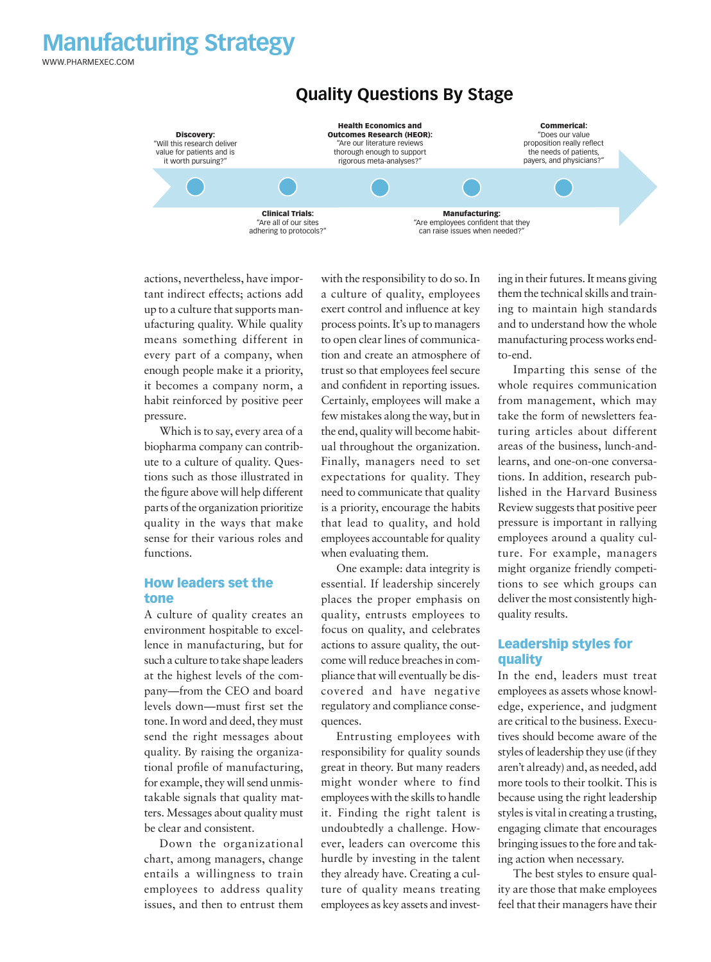WWW.PHARMEXEC.COM



#### **Quality Questions By Stage**

actions, nevertheless, have important indirect effects; actions add up to a culture that supports manufacturing quality. While quality means something different in every part of a company, when enough people make it a priority, it becomes a company norm, a habit reinforced by positive peer pressure.

Which is to say, every area of a biopharma company can contribute to a culture of quality. Questions such as those illustrated in the figure above will help different parts of the organization prioritize quality in the ways that make sense for their various roles and functions.

#### How leaders set the tone

A culture of quality creates an environment hospitable to excellence in manufacturing, but for such a culture to take shape leaders at the highest levels of the company—from the CEO and board levels down—must first set the tone. In word and deed, they must send the right messages about quality. By raising the organizational profile of manufacturing, for example, they will send unmistakable signals that quality matters. Messages about quality must be clear and consistent.

Down the organizational chart, among managers, change entails a willingness to train employees to address quality issues, and then to entrust them

with the responsibility to do so. In a culture of quality, employees exert control and influence at key process points. It's up to managers to open clear lines of communication and create an atmosphere of trust so that employees feel secure and confident in reporting issues. Certainly, employees will make a few mistakes along the way, but in the end, quality will become habitual throughout the organization. Finally, managers need to set expectations for quality. They need to communicate that quality is a priority, encourage the habits that lead to quality, and hold employees accountable for quality when evaluating them.

One example: data integrity is essential. If leadership sincerely places the proper emphasis on quality, entrusts employees to focus on quality, and celebrates actions to assure quality, the outcome will reduce breaches in compliance that will eventually be discovered and have negative regulatory and compliance consequences.

Entrusting employees with responsibility for quality sounds great in theory. But many readers might wonder where to find employees with the skills to handle it. Finding the right talent is undoubtedly a challenge. However, leaders can overcome this hurdle by investing in the talent they already have. Creating a culture of quality means treating employees as key assets and investing in their futures. It means giving them the technical skills and training to maintain high standards and to understand how the whole manufacturing process works endto-end.

Imparting this sense of the whole requires communication from management, which may take the form of newsletters featuring articles about different areas of the business, lunch-andlearns, and one-on-one conversations. In addition, research published in the Harvard Business Review suggests that positive peer pressure is important in rallying employees around a quality culture. For example, managers might organize friendly competitions to see which groups can deliver the most consistently highquality results.

#### Leadership styles for quality

In the end, leaders must treat employees as assets whose knowledge, experience, and judgment are critical to the business. Executives should become aware of the styles of leadership they use (if they aren't already) and, as needed, add more tools to their toolkit. This is because using the right leadership styles is vital in creating a trusting, engaging climate that encourages bringing issues to the fore and taking action when necessary.

The best styles to ensure quality are those that make employees feel that their managers have their